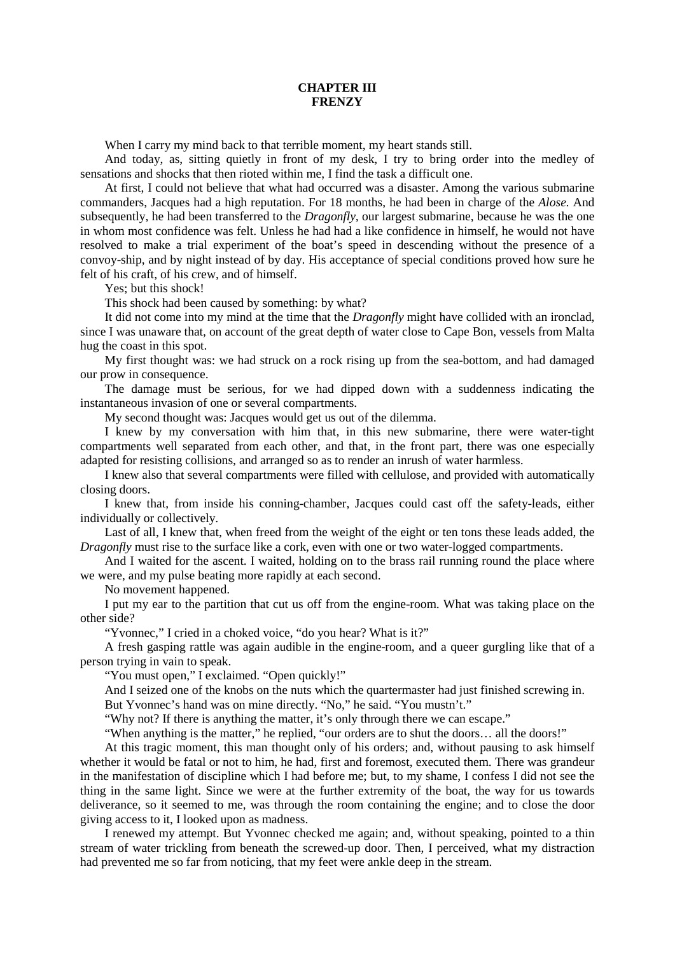## **CHAPTER III FRENZY**

When I carry my mind back to that terrible moment, my heart stands still.

And today, as, sitting quietly in front of my desk, I try to bring order into the medley of sensations and shocks that then rioted within me, I find the task a difficult one.

At first, I could not believe that what had occurred was a disaster. Among the various submarine commanders, Jacques had a high reputation. For 18 months, he had been in charge of the *Alose.* And subsequently, he had been transferred to the *Dragonfly,* our largest submarine, because he was the one in whom most confidence was felt. Unless he had had a like confidence in himself, he would not have resolved to make a trial experiment of the boat's speed in descending without the presence of a convoy-ship, and by night instead of by day. His acceptance of special conditions proved how sure he felt of his craft, of his crew, and of himself.

Yes; but this shock!

This shock had been caused by something: by what?

It did not come into my mind at the time that the *Dragonfly* might have collided with an ironclad, since I was unaware that, on account of the great depth of water close to Cape Bon, vessels from Malta hug the coast in this spot.

My first thought was: we had struck on a rock rising up from the sea-bottom, and had damaged our prow in consequence.

The damage must be serious, for we had dipped down with a suddenness indicating the instantaneous invasion of one or several compartments.

My second thought was: Jacques would get us out of the dilemma.

I knew by my conversation with him that, in this new submarine, there were water-tight compartments well separated from each other, and that, in the front part, there was one especially adapted for resisting collisions, and arranged so as to render an inrush of water harmless.

I knew also that several compartments were filled with cellulose, and provided with automatically closing doors.

I knew that, from inside his conning-chamber, Jacques could cast off the safety-leads, either individually or collectively.

Last of all, I knew that, when freed from the weight of the eight or ten tons these leads added, the *Dragonfly* must rise to the surface like a cork, even with one or two water-logged compartments.

And I waited for the ascent. I waited, holding on to the brass rail running round the place where we were, and my pulse beating more rapidly at each second.

No movement happened.

I put my ear to the partition that cut us off from the engine-room. What was taking place on the other side?

"Yvonnec," I cried in a choked voice, "do you hear? What is it?"

A fresh gasping rattle was again audible in the engine-room, and a queer gurgling like that of a person trying in vain to speak.

"You must open," I exclaimed. "Open quickly!"

And I seized one of the knobs on the nuts which the quartermaster had just finished screwing in.

But Yvonnec's hand was on mine directly. "No," he said. "You mustn't."

"Why not? If there is anything the matter, it's only through there we can escape."

"When anything is the matter," he replied, "our orders are to shut the doors… all the doors!"

At this tragic moment, this man thought only of his orders; and, without pausing to ask himself whether it would be fatal or not to him, he had, first and foremost, executed them. There was grandeur in the manifestation of discipline which I had before me; but, to my shame, I confess I did not see the thing in the same light. Since we were at the further extremity of the boat, the way for us towards deliverance, so it seemed to me, was through the room containing the engine; and to close the door giving access to it, I looked upon as madness.

I renewed my attempt. But Yvonnec checked me again; and, without speaking, pointed to a thin stream of water trickling from beneath the screwed-up door. Then, I perceived, what my distraction had prevented me so far from noticing, that my feet were ankle deep in the stream.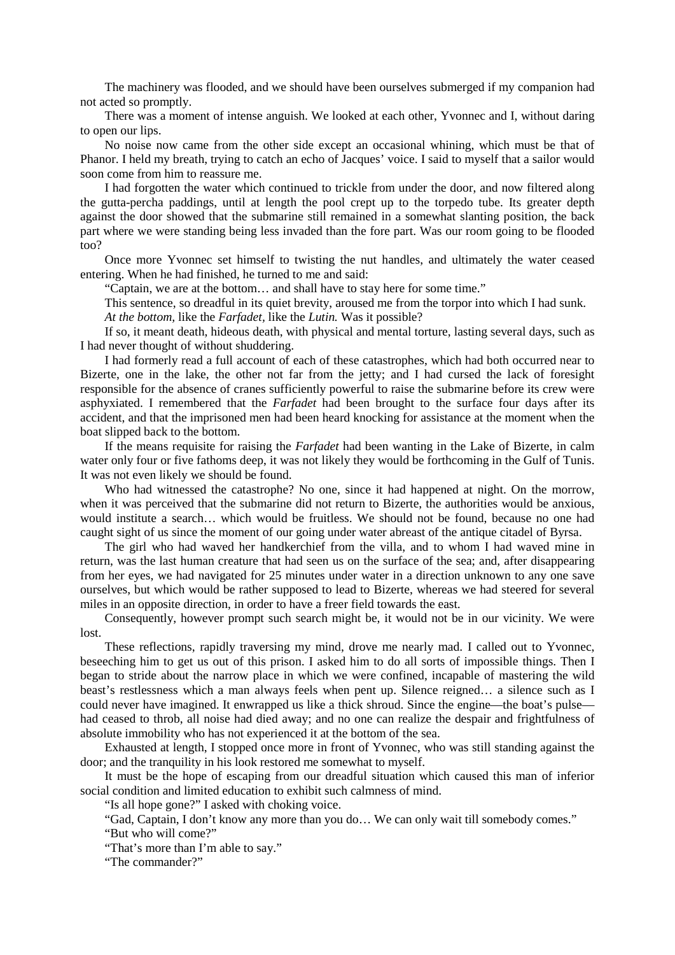The machinery was flooded, and we should have been ourselves submerged if my companion had not acted so promptly.

There was a moment of intense anguish. We looked at each other, Yvonnec and I, without daring to open our lips.

No noise now came from the other side except an occasional whining, which must be that of Phanor. I held my breath, trying to catch an echo of Jacques' voice. I said to myself that a sailor would soon come from him to reassure me.

I had forgotten the water which continued to trickle from under the door, and now filtered along the gutta-percha paddings, until at length the pool crept up to the torpedo tube. Its greater depth against the door showed that the submarine still remained in a somewhat slanting position, the back part where we were standing being less invaded than the fore part. Was our room going to be flooded too?

Once more Yvonnec set himself to twisting the nut handles, and ultimately the water ceased entering. When he had finished, he turned to me and said:

"Captain, we are at the bottom… and shall have to stay here for some time."

This sentence, so dreadful in its quiet brevity, aroused me from the torpor into which I had sunk.

*At the bottom,* like the *Farfadet,* like the *Lutin.* Was it possible?

If so, it meant death, hideous death, with physical and mental torture, lasting several days, such as I had never thought of without shuddering.

I had formerly read a full account of each of these catastrophes, which had both occurred near to Bizerte, one in the lake, the other not far from the jetty; and I had cursed the lack of foresight responsible for the absence of cranes sufficiently powerful to raise the submarine before its crew were asphyxiated. I remembered that the *Farfadet* had been brought to the surface four days after its accident, and that the imprisoned men had been heard knocking for assistance at the moment when the boat slipped back to the bottom.

If the means requisite for raising the *Farfadet* had been wanting in the Lake of Bizerte, in calm water only four or five fathoms deep, it was not likely they would be forthcoming in the Gulf of Tunis. It was not even likely we should be found.

Who had witnessed the catastrophe? No one, since it had happened at night. On the morrow, when it was perceived that the submarine did not return to Bizerte, the authorities would be anxious, would institute a search… which would be fruitless. We should not be found, because no one had caught sight of us since the moment of our going under water abreast of the antique citadel of Byrsa.

The girl who had waved her handkerchief from the villa, and to whom I had waved mine in return, was the last human creature that had seen us on the surface of the sea; and, after disappearing from her eyes, we had navigated for 25 minutes under water in a direction unknown to any one save ourselves, but which would be rather supposed to lead to Bizerte, whereas we had steered for several miles in an opposite direction, in order to have a freer field towards the east.

Consequently, however prompt such search might be, it would not be in our vicinity. We were lost.

These reflections, rapidly traversing my mind, drove me nearly mad. I called out to Yvonnec, beseeching him to get us out of this prison. I asked him to do all sorts of impossible things. Then I began to stride about the narrow place in which we were confined, incapable of mastering the wild beast's restlessness which a man always feels when pent up. Silence reigned… a silence such as I could never have imagined. It enwrapped us like a thick shroud. Since the engine—the boat's pulse had ceased to throb, all noise had died away; and no one can realize the despair and frightfulness of absolute immobility who has not experienced it at the bottom of the sea.

Exhausted at length, I stopped once more in front of Yvonnec, who was still standing against the door; and the tranquility in his look restored me somewhat to myself.

It must be the hope of escaping from our dreadful situation which caused this man of inferior social condition and limited education to exhibit such calmness of mind.

"Is all hope gone?" I asked with choking voice.

"Gad, Captain, I don't know any more than you do… We can only wait till somebody comes."

"But who will come?"

"That's more than I'm able to say."

"The commander?"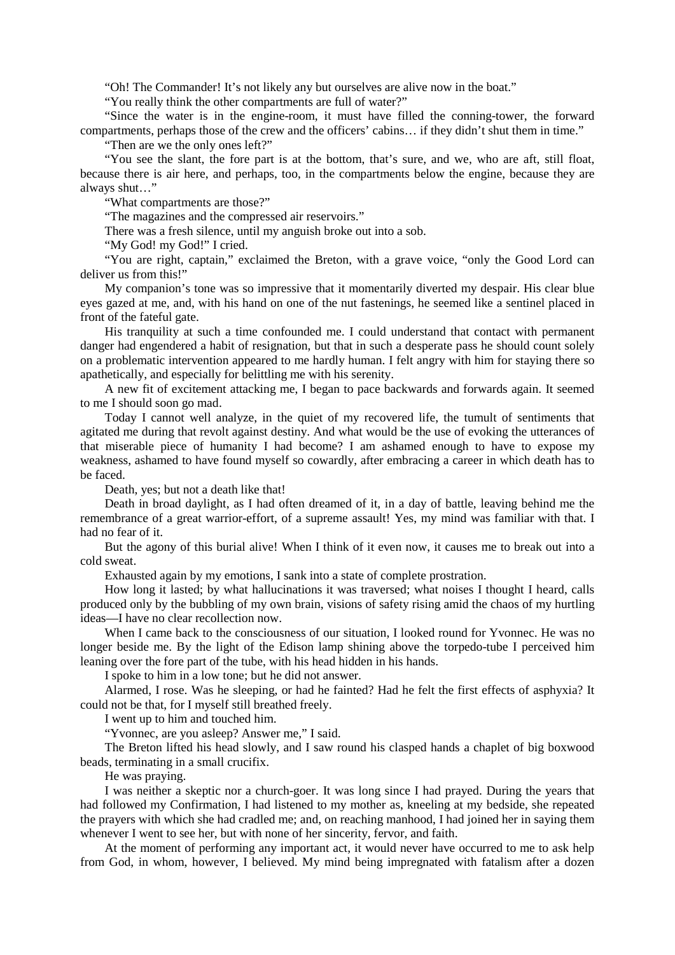"Oh! The Commander! It's not likely any but ourselves are alive now in the boat."

"You really think the other compartments are full of water?"

"Since the water is in the engine-room, it must have filled the conning-tower, the forward compartments, perhaps those of the crew and the officers' cabins… if they didn't shut them in time."

"Then are we the only ones left?"

"You see the slant, the fore part is at the bottom, that's sure, and we, who are aft, still float, because there is air here, and perhaps, too, in the compartments below the engine, because they are always shut…"

"What compartments are those?"

"The magazines and the compressed air reservoirs."

There was a fresh silence, until my anguish broke out into a sob.

"My God! my God!" I cried.

"You are right, captain," exclaimed the Breton, with a grave voice, "only the Good Lord can deliver us from this!"

My companion's tone was so impressive that it momentarily diverted my despair. His clear blue eyes gazed at me, and, with his hand on one of the nut fastenings, he seemed like a sentinel placed in front of the fateful gate.

His tranquility at such a time confounded me. I could understand that contact with permanent danger had engendered a habit of resignation, but that in such a desperate pass he should count solely on a problematic intervention appeared to me hardly human. I felt angry with him for staying there so apathetically, and especially for belittling me with his serenity.

A new fit of excitement attacking me, I began to pace backwards and forwards again. It seemed to me I should soon go mad.

Today I cannot well analyze, in the quiet of my recovered life, the tumult of sentiments that agitated me during that revolt against destiny. And what would be the use of evoking the utterances of that miserable piece of humanity I had become? I am ashamed enough to have to expose my weakness, ashamed to have found myself so cowardly, after embracing a career in which death has to be faced.

Death, yes; but not a death like that!

Death in broad daylight, as I had often dreamed of it, in a day of battle, leaving behind me the remembrance of a great warrior-effort, of a supreme assault! Yes, my mind was familiar with that. I had no fear of it.

But the agony of this burial alive! When I think of it even now, it causes me to break out into a cold sweat.

Exhausted again by my emotions, I sank into a state of complete prostration.

How long it lasted; by what hallucinations it was traversed; what noises I thought I heard, calls produced only by the bubbling of my own brain, visions of safety rising amid the chaos of my hurtling ideas—I have no clear recollection now.

When I came back to the consciousness of our situation, I looked round for Yvonnec. He was no longer beside me. By the light of the Edison lamp shining above the torpedo-tube I perceived him leaning over the fore part of the tube, with his head hidden in his hands.

I spoke to him in a low tone; but he did not answer.

Alarmed, I rose. Was he sleeping, or had he fainted? Had he felt the first effects of asphyxia? It could not be that, for I myself still breathed freely.

I went up to him and touched him.

"Yvonnec, are you asleep? Answer me," I said.

The Breton lifted his head slowly, and I saw round his clasped hands a chaplet of big boxwood beads, terminating in a small crucifix.

He was praying.

I was neither a skeptic nor a church-goer. It was long since I had prayed. During the years that had followed my Confirmation, I had listened to my mother as, kneeling at my bedside, she repeated the prayers with which she had cradled me; and, on reaching manhood, I had joined her in saying them whenever I went to see her, but with none of her sincerity, fervor, and faith.

At the moment of performing any important act, it would never have occurred to me to ask help from God, in whom, however, I believed. My mind being impregnated with fatalism after a dozen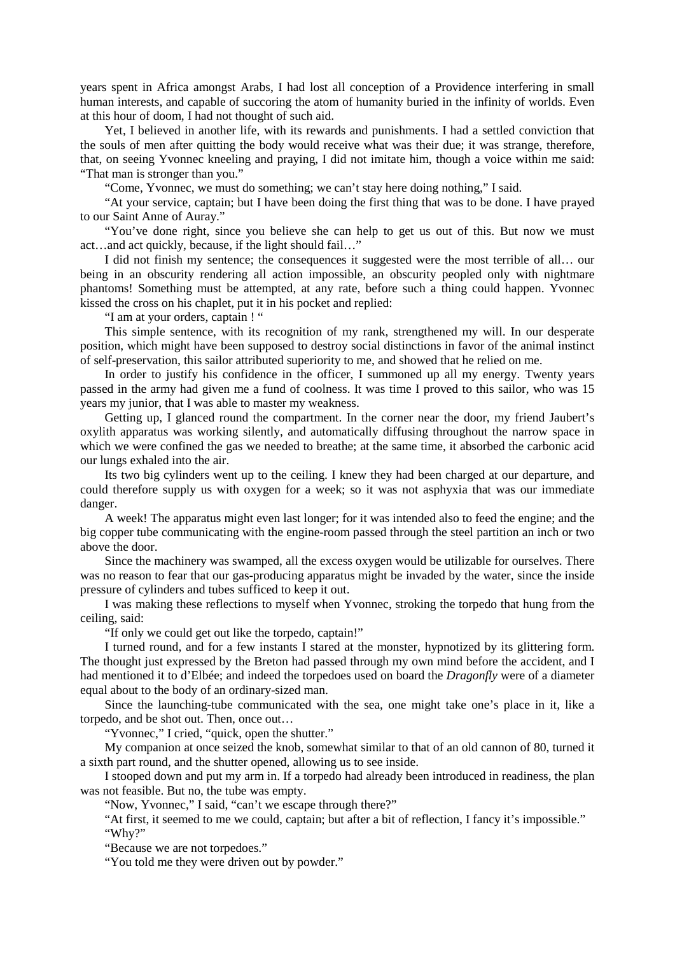years spent in Africa amongst Arabs, I had lost all conception of a Providence interfering in small human interests, and capable of succoring the atom of humanity buried in the infinity of worlds. Even at this hour of doom, I had not thought of such aid.

Yet, I believed in another life, with its rewards and punishments. I had a settled conviction that the souls of men after quitting the body would receive what was their due; it was strange, therefore, that, on seeing Yvonnec kneeling and praying, I did not imitate him, though a voice within me said: "That man is stronger than you."

"Come, Yvonnec, we must do something; we can't stay here doing nothing," I said.

"At your service, captain; but I have been doing the first thing that was to be done. I have prayed to our Saint Anne of Auray."

"You've done right, since you believe she can help to get us out of this. But now we must act…and act quickly, because, if the light should fail…"

I did not finish my sentence; the consequences it suggested were the most terrible of all… our being in an obscurity rendering all action impossible, an obscurity peopled only with nightmare phantoms! Something must be attempted, at any rate, before such a thing could happen. Yvonnec kissed the cross on his chaplet, put it in his pocket and replied:

"I am at your orders, captain ! "

This simple sentence, with its recognition of my rank, strengthened my will. In our desperate position, which might have been supposed to destroy social distinctions in favor of the animal instinct of self-preservation, this sailor attributed superiority to me, and showed that he relied on me.

In order to justify his confidence in the officer, I summoned up all my energy. Twenty years passed in the army had given me a fund of coolness. It was time I proved to this sailor, who was 15 years my junior, that I was able to master my weakness.

Getting up, I glanced round the compartment. In the corner near the door, my friend Jaubert's oxylith apparatus was working silently, and automatically diffusing throughout the narrow space in which we were confined the gas we needed to breathe; at the same time, it absorbed the carbonic acid our lungs exhaled into the air.

Its two big cylinders went up to the ceiling. I knew they had been charged at our departure, and could therefore supply us with oxygen for a week; so it was not asphyxia that was our immediate danger.

A week! The apparatus might even last longer; for it was intended also to feed the engine; and the big copper tube communicating with the engine-room passed through the steel partition an inch or two above the door.

Since the machinery was swamped, all the excess oxygen would be utilizable for ourselves. There was no reason to fear that our gas-producing apparatus might be invaded by the water, since the inside pressure of cylinders and tubes sufficed to keep it out.

I was making these reflections to myself when Yvonnec, stroking the torpedo that hung from the ceiling, said:

"If only we could get out like the torpedo, captain!"

I turned round, and for a few instants I stared at the monster, hypnotized by its glittering form. The thought just expressed by the Breton had passed through my own mind before the accident, and I had mentioned it to d'Elbée; and indeed the torpedoes used on board the *Dragonfly* were of a diameter equal about to the body of an ordinary-sized man.

Since the launching-tube communicated with the sea, one might take one's place in it, like a torpedo, and be shot out. Then, once out…

"Yvonnec," I cried, "quick, open the shutter."

My companion at once seized the knob, somewhat similar to that of an old cannon of 80, turned it a sixth part round, and the shutter opened, allowing us to see inside.

I stooped down and put my arm in. If a torpedo had already been introduced in readiness, the plan was not feasible. But no, the tube was empty.

"Now, Yvonnec," I said, "can't we escape through there?"

"At first, it seemed to me we could, captain; but after a bit of reflection, I fancy it's impossible." "Why?"

"Because we are not torpedoes."

"You told me they were driven out by powder."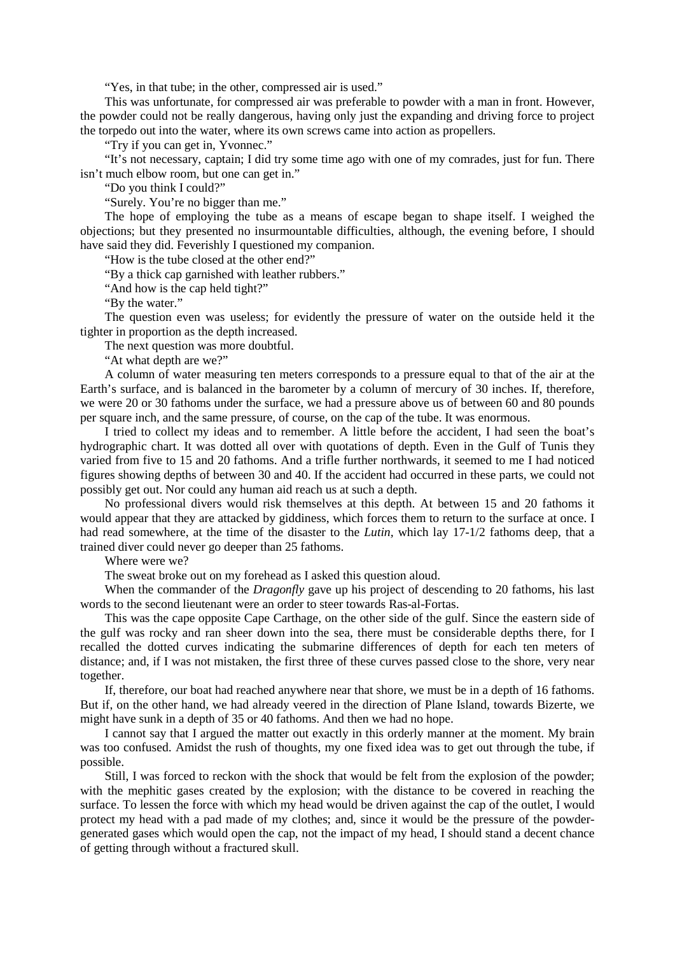"Yes, in that tube; in the other, compressed air is used."

This was unfortunate, for compressed air was preferable to powder with a man in front. However, the powder could not be really dangerous, having only just the expanding and driving force to project the torpedo out into the water, where its own screws came into action as propellers.

"Try if you can get in, Yvonnec."

"It's not necessary, captain; I did try some time ago with one of my comrades, just for fun. There isn't much elbow room, but one can get in."

"Do you think I could?"

"Surely. You're no bigger than me."

The hope of employing the tube as a means of escape began to shape itself. I weighed the objections; but they presented no insurmountable difficulties, although, the evening before, I should have said they did. Feverishly I questioned my companion.

"How is the tube closed at the other end?"

"By a thick cap garnished with leather rubbers."

"And how is the cap held tight?"

"By the water."

The question even was useless; for evidently the pressure of water on the outside held it the tighter in proportion as the depth increased.

The next question was more doubtful.

"At what depth are we?"

A column of water measuring ten meters corresponds to a pressure equal to that of the air at the Earth's surface, and is balanced in the barometer by a column of mercury of 30 inches. If, therefore, we were 20 or 30 fathoms under the surface, we had a pressure above us of between 60 and 80 pounds per square inch, and the same pressure, of course, on the cap of the tube. It was enormous.

I tried to collect my ideas and to remember. A little before the accident, I had seen the boat's hydrographic chart. It was dotted all over with quotations of depth. Even in the Gulf of Tunis they varied from five to 15 and 20 fathoms. And a trifle further northwards, it seemed to me I had noticed figures showing depths of between 30 and 40. If the accident had occurred in these parts, we could not possibly get out. Nor could any human aid reach us at such a depth.

No professional divers would risk themselves at this depth. At between 15 and 20 fathoms it would appear that they are attacked by giddiness, which forces them to return to the surface at once. I had read somewhere, at the time of the disaster to the *Lutin,* which lay 17-1/2 fathoms deep, that a trained diver could never go deeper than 25 fathoms.

Where were we?

The sweat broke out on my forehead as I asked this question aloud.

When the commander of the *Dragonfly* gave up his project of descending to 20 fathoms, his last words to the second lieutenant were an order to steer towards Ras-al-Fortas.

This was the cape opposite Cape Carthage, on the other side of the gulf. Since the eastern side of the gulf was rocky and ran sheer down into the sea, there must be considerable depths there, for I recalled the dotted curves indicating the submarine differences of depth for each ten meters of distance; and, if I was not mistaken, the first three of these curves passed close to the shore, very near together.

If, therefore, our boat had reached anywhere near that shore, we must be in a depth of 16 fathoms. But if, on the other hand, we had already veered in the direction of Plane Island, towards Bizerte, we might have sunk in a depth of 35 or 40 fathoms. And then we had no hope.

I cannot say that I argued the matter out exactly in this orderly manner at the moment. My brain was too confused. Amidst the rush of thoughts, my one fixed idea was to get out through the tube, if possible.

Still, I was forced to reckon with the shock that would be felt from the explosion of the powder; with the mephitic gases created by the explosion; with the distance to be covered in reaching the surface. To lessen the force with which my head would be driven against the cap of the outlet, I would protect my head with a pad made of my clothes; and, since it would be the pressure of the powdergenerated gases which would open the cap, not the impact of my head, I should stand a decent chance of getting through without a fractured skull.